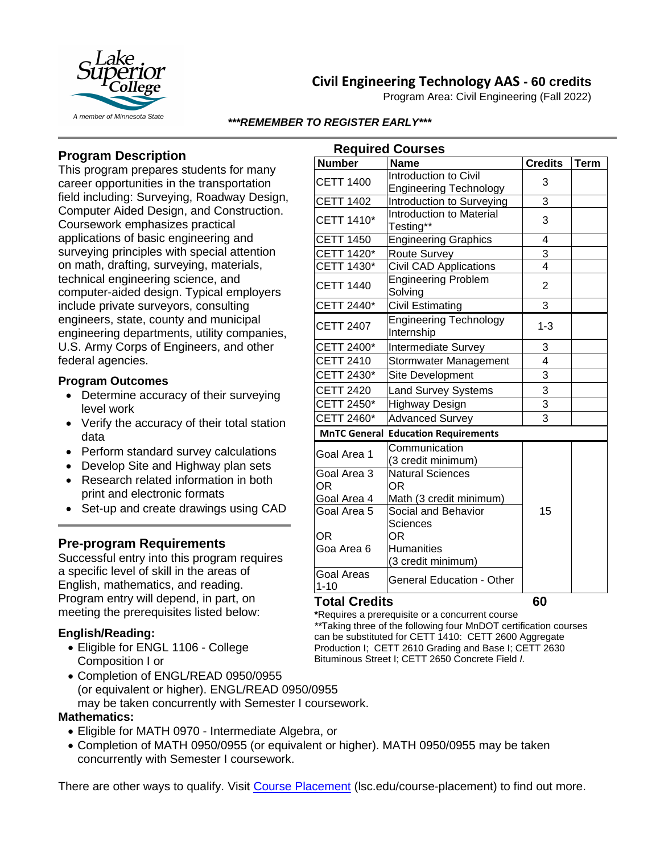

# **Civil Engineering Technology AAS - 60 credits**

Program Area: Civil Engineering (Fall 2022)

#### *\*\*\*REMEMBER TO REGISTER EARLY\*\*\**

# **Program Description**

This program prepares students for many career opportunities in the transportation field including: Surveying, Roadway Design, Computer Aided Design, and Construction. Coursework emphasizes practical applications of basic engineering and surveying principles with special attention on math, drafting, surveying, materials, technical engineering science, and computer-aided design. Typical employers include private surveyors, consulting engineers, state, county and municipal engineering departments, utility companies, U.S. Army Corps of Engineers, and other federal agencies.

### **Program Outcomes**

- Determine accuracy of their surveying level work
- Verify the accuracy of their total station data
- Perform standard survey calculations
- Develop Site and Highway plan sets
- Research related information in both print and electronic formats
- Set-up and create drawings using CAD

## **Pre-program Requirements**

Successful entry into this program requires a specific level of skill in the areas of English, mathematics, and reading. Program entry will depend, in part, on meeting the prerequisites listed below:

## **English/Reading:**

- Eligible for ENGL 1106 College Composition I or
- Completion of ENGL/READ 0950/0955 (or equivalent or higher). ENGL/READ 0950/0955 may be taken concurrently with Semester I coursework.

#### **Mathematics:**

- Eligible for MATH 0970 Intermediate Algebra, or
- Completion of MATH 0950/0955 (or equivalent or higher). MATH 0950/0955 may be taken concurrently with Semester I coursework.

There are other ways to qualify. Visit [Course Placement](https://www.lsc.edu/course-placement/) (Isc.edu/course-placement) to find out more.

| <b>Required Courses</b>                              |                                                        |                |             |
|------------------------------------------------------|--------------------------------------------------------|----------------|-------------|
| <b>Number</b>                                        | <b>Name</b>                                            | <b>Credits</b> | <b>Term</b> |
| <b>CETT 1400</b>                                     | Introduction to Civil<br><b>Engineering Technology</b> | 3              |             |
| <b>CETT 1402</b>                                     | Introduction to Surveying                              | 3              |             |
| <b>CETT 1410*</b>                                    | <b>Introduction to Material</b><br>Testing**           | 3              |             |
| <b>CETT 1450</b>                                     | <b>Engineering Graphics</b>                            | 4              |             |
| CETT 1420*                                           | <b>Route Survey</b>                                    | 3              |             |
| CETT 1430*                                           | <b>Civil CAD Applications</b>                          | $\overline{4}$ |             |
| <b>CETT 1440</b>                                     | <b>Engineering Problem</b><br>Solving                  | $\overline{2}$ |             |
| CETT 2440*                                           | <b>Civil Estimating</b>                                | 3              |             |
| <b>CETT 2407</b>                                     | <b>Engineering Technology</b><br>Internship            | $1 - 3$        |             |
| CETT 2400*                                           | Intermediate Survey                                    | 3              |             |
| <b>CETT 2410</b>                                     | Stormwater Management                                  | $\overline{4}$ |             |
| CETT 2430*                                           | <b>Site Development</b>                                | $\overline{3}$ |             |
| <b>CETT 2420</b>                                     | <b>Land Survey Systems</b>                             | 3              |             |
| CETT 2450*                                           | Highway Design                                         | $\overline{3}$ |             |
| CETT 2460*                                           | <b>Advanced Survey</b>                                 | 3              |             |
| <b>MnTC General</b><br><b>Education Requirements</b> |                                                        |                |             |
| Goal Area 1                                          | Communication<br>(3 credit minimum)                    |                |             |
| Goal Area 3<br>0R                                    | <b>Natural Sciences</b><br>ΟR                          |                |             |
| Goal Area 4                                          | Math (3 credit minimum)                                |                |             |
| Goal Area 5                                          | Social and Behavior<br>Sciences                        | 15             |             |
| OR                                                   | ΟR                                                     |                |             |
| Goa Area 6                                           | <b>Humanities</b><br>(3 credit minimum)                |                |             |
| <b>Goal Areas</b><br>$1 - 10$                        | <b>General Education - Other</b>                       |                |             |

#### **Total Credits 60**

**\***Requires a prerequisite or a concurrent course *\*\**Taking three of the following four MnDOT certification courses can be substituted for CETT 1410: CETT 2600 Aggregate Production I; CETT 2610 Grading and Base I; CETT 2630 Bituminous Street I; CETT 2650 Concrete Field *I.*